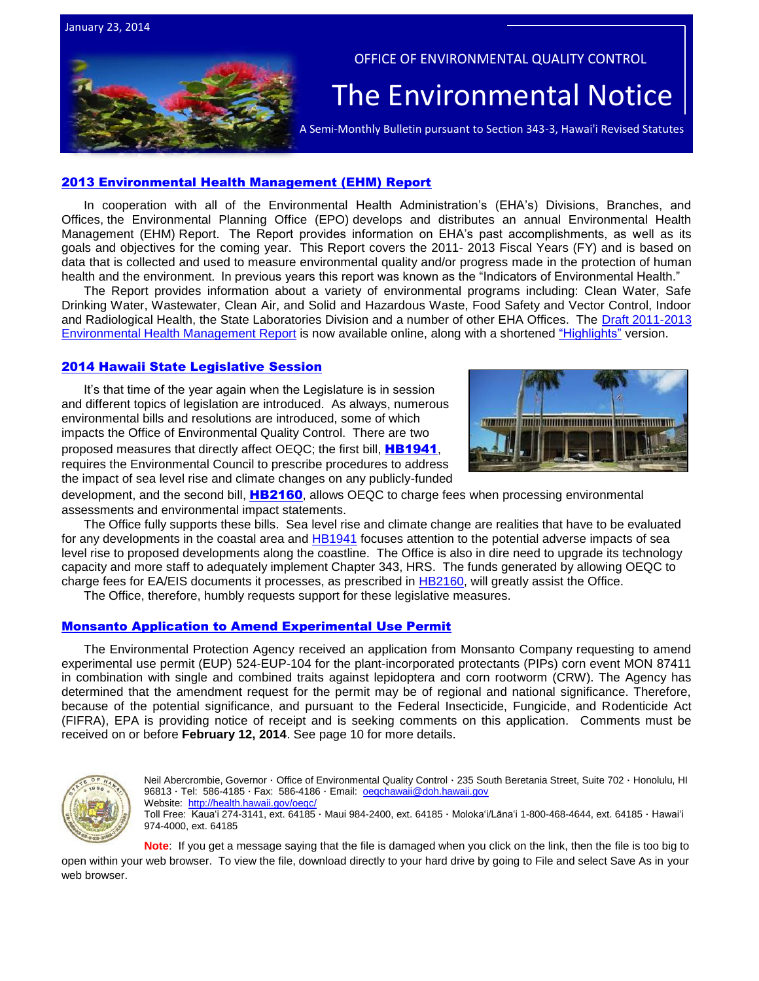



### OFFICE OF ENVIRONMENTAL QUALITY CONTROL

# The Environmental Notice

A Semi-Monthly Bulletin pursuant to Section 343-3, Hawai'i Revised Statutes

### [2013 Environmental Health Management \(EHM\) Report](http://health.hawaii.gov/epo/files/2013/12/DRAFT-2011-2013-EHM-Report.pdf)

In cooperation with all of the Environmental Health Administration's (EHA's) Divisions, Branches, and Offices, the Environmental Planning Office (EPO) develops and distributes an annual Environmental Health Management (EHM) Report. The Report provides information on EHA's past accomplishments, as well as its goals and objectives for the coming year. This Report covers the 2011- 2013 Fiscal Years (FY) and is based on data that is collected and used to measure environmental quality and/or progress made in the protection of human health and the environment. In previous years this report was known as the "Indicators of Environmental Health."

The Report provides information about a variety of environmental programs including: Clean Water, Safe Drinking Water, Wastewater, Clean Air, and Solid and Hazardous Waste, Food Safety and Vector Control, Indoor and Radiological Health, the State Laboratories Division and a number of other EHA Offices. The [Draft 2011-2013](http://health.hawaii.gov/epo/files/2013/12/DRAFT-2011-2013-EHM-Report.pdf)  [Environmental Health Management Report](http://health.hawaii.gov/epo/files/2013/12/DRAFT-2011-2013-EHM-Report.pdf) is now available online, along with a shortened ["Highlights"](http://health.hawaii.gov/epo/files/2013/05/2013-Highlights-Environmental-Health-Management-Report.pdf) version.

### [2014 Hawaii State Legislative Session](http://www.capitol.hawaii.gov/legcal.aspx)

It's that time of the year again when the Legislature is in session and different topics of legislation are introduced. As always, numerous environmental bills and resolutions are introduced, some of which impacts the Office of Environmental Quality Control. There are two proposed measures that directly affect OEQC; the first bill, **[HB1941](http://www.capitol.hawaii.gov/session2014/bills/HB1941_.pdf)**, requires the Environmental Council to prescribe procedures to address the impact of sea level rise and climate changes on any publicly-funded



development, and the second bill, **[HB2160](http://www.capitol.hawaii.gov/session2014/bills/HB2160_.pdf)**, allows OEQC to charge fees when processing environmental assessments and environmental impact statements.

The Office fully supports these bills. Sea level rise and climate change are realities that have to be evaluated for any developments in the coastal area and [HB1941](http://www.capitol.hawaii.gov/session2014/bills/HB1941_.pdf) focuses attention to the potential adverse impacts of sea level rise to proposed developments along the coastline. The Office is also in dire need to upgrade its technology capacity and more staff to adequately implement Chapter 343, HRS. The funds generated by allowing OEQC to charge fees for EA/EIS documents it processes, as prescribed in [HB2160,](http://www.capitol.hawaii.gov/session2014/bills/HB2160_.pdf) will greatly assist the Office.

The Office, therefore, humbly requests support for these legislative measures.

### [Monsanto Application to Amend Experimental Use Permit](http://www.gpo.gov/fdsys/pkg/FR-2014-01-13/pdf/2014-00389.pdf)

The Environmental Protection Agency received an application from Monsanto Company requesting to amend experimental use permit (EUP) 524-EUP-104 for the plant-incorporated protectants (PIPs) corn event MON 87411 in combination with single and combined traits against lepidoptera and corn rootworm (CRW). The Agency has determined that the amendment request for the permit may be of regional and national significance. Therefore, because of the potential significance, and pursuant to the Federal Insecticide, Fungicide, and Rodenticide Act (FIFRA), EPA is providing notice of receipt and is seeking comments on this application. Comments must be received on or before **February 12, 2014**. See page 10 for more details.



Neil Abercrombie, Governor · Office of Environmental Quality Control · 235 South Beretania Street, Suite 702 · Honolulu, HI 96813 · Tel: 586-4185 · Fax: 586-4186 · Email: oegchawaii@doh.hawaii.gov Website: <http://health.hawaii.gov/oeqc/> Toll Free: Kauaʻi 274-3141, ext. 64185 · Maui 984-2400, ext. 64185 · Molokaʻi/Lānaʻi 1-800-468-4644, ext. 64185 · Hawaiʻi 974-4000, ext. 64185

**Note**: If you get a message saying that the file is damaged when you click on the link, then the file is too big to open within your web browser. To view the file, download directly to your hard drive by going to File and select Save As in your web browser.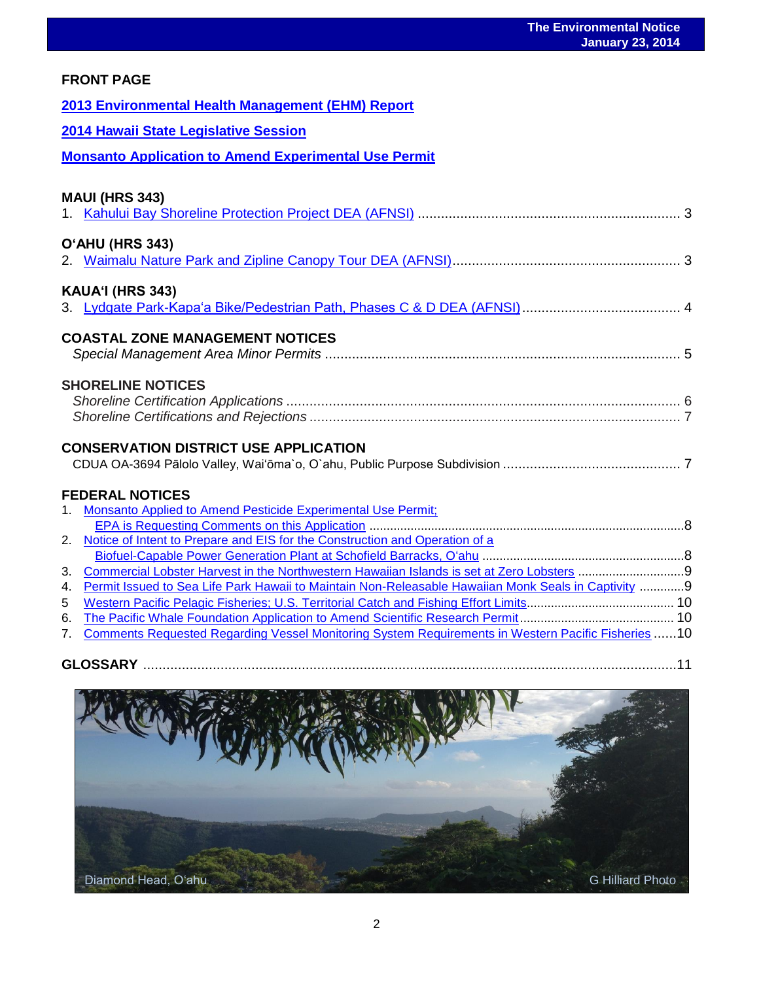## **FRONT PAGE**

| 2013 Environmental Health Management (EHM) Report                                                      |  |
|--------------------------------------------------------------------------------------------------------|--|
| 2014 Hawaii State Legislative Session                                                                  |  |
| <b>Monsanto Application to Amend Experimental Use Permit</b>                                           |  |
| <b>MAUI (HRS 343)</b>                                                                                  |  |
| O'AHU (HRS 343)                                                                                        |  |
| KAUA'I (HRS 343)                                                                                       |  |
| <b>COASTAL ZONE MANAGEMENT NOTICES</b>                                                                 |  |
| <b>SHORELINE NOTICES</b>                                                                               |  |
| <b>CONSERVATION DISTRICT USE APPLICATION</b>                                                           |  |
| <b>FEDERAL NOTICES</b>                                                                                 |  |
| 1. Monsanto Applied to Amend Pesticide Experimental Use Permit;                                        |  |
| 2. Notice of Intent to Prepare and EIS for the Construction and Operation of a                         |  |
|                                                                                                        |  |
| 4. Permit Issued to Sea Life Park Hawaii to Maintain Non-Releasable Hawaiian Monk Seals in Captivity 9 |  |
| 5                                                                                                      |  |
| 6.                                                                                                     |  |
| 7. Comments Requested Regarding Vessel Monitoring System Requirements in Western Pacific Fisheries  10 |  |

| <b>GLOSSARY</b> |  |
|-----------------|--|
|-----------------|--|

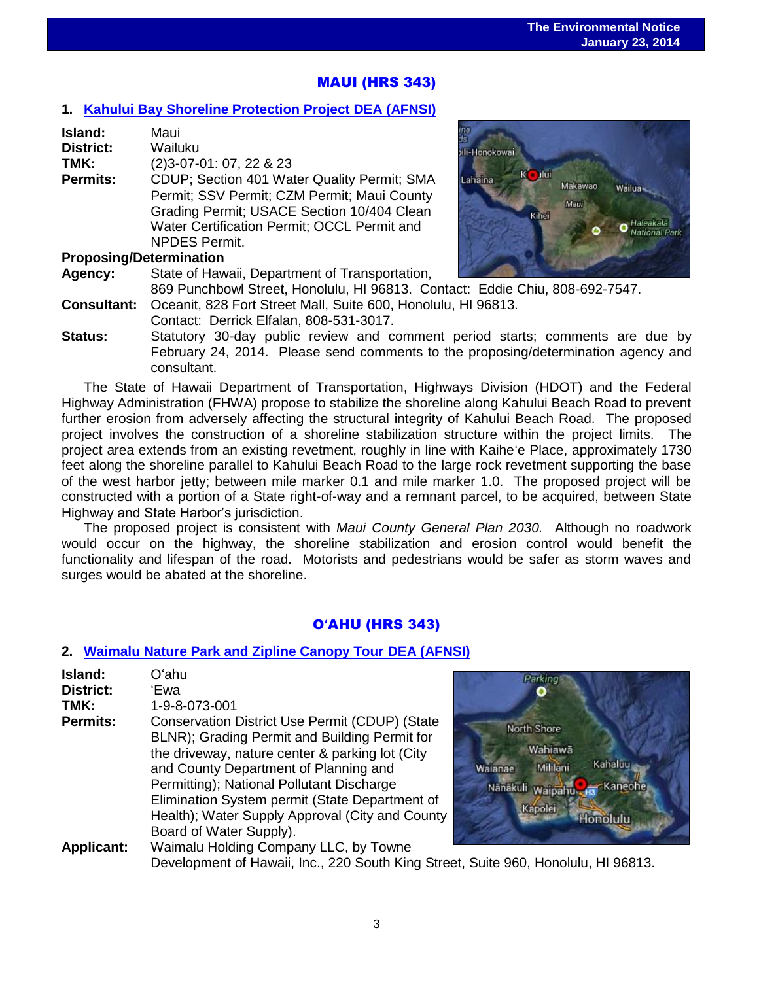## MAUI (HRS 343)

## **1. [Kahului Bay Shoreline Protection Project](http://oeqc.doh.hawaii.gov/Shared%20Documents/EA_and_EIS_Online_Library/Maui/2010s/2014-01-23-MA-5B-DEA-Kahului-Bay-Shoreline-Protection-Project%20.pdf) DEA (AFNSI)**

| Island:                        | Maui                                        |
|--------------------------------|---------------------------------------------|
| <b>District:</b>               | Wailuku                                     |
| TMK:                           | $(2)3-07-01:07,22 & 23$                     |
| <b>Permits:</b>                | CDUP; Section 401 Water Quality Permit; SMA |
|                                | Permit; SSV Permit; CZM Permit; Maui County |
|                                | Grading Permit; USACE Section 10/404 Clean  |
|                                | Water Certification Permit; OCCL Permit and |
|                                | <b>NPDES Permit.</b>                        |
| <b>Pronosing/Determination</b> |                                             |



**Agency:** State of Hawaii, Department of Transportation,



869 Punchbowl Street, Honolulu, HI 96813. Contact: Eddie Chiu, 808-692-7547. **Consultant:** Oceanit, 828 Fort Street Mall, Suite 600, Honolulu, HI 96813.

- Contact: Derrick Elfalan, 808-531-3017.
- **Status:** Statutory 30-day public review and comment period starts; comments are due by February 24, 2014. Please send comments to the proposing/determination agency and consultant.

The State of Hawaii Department of Transportation, Highways Division (HDOT) and the Federal Highway Administration (FHWA) propose to stabilize the shoreline along Kahului Beach Road to prevent further erosion from adversely affecting the structural integrity of Kahului Beach Road. The proposed project involves the construction of a shoreline stabilization structure within the project limits. The project area extends from an existing revetment, roughly in line with Kaiheʻe Place, approximately 1730 feet along the shoreline parallel to Kahului Beach Road to the large rock revetment supporting the base of the west harbor jetty; between mile marker 0.1 and mile marker 1.0. The proposed project will be constructed with a portion of a State right-of-way and a remnant parcel, to be acquired, between State Highway and State Harbor's jurisdiction.

The proposed project is consistent with *Maui County General Plan 2030.* Although no roadwork would occur on the highway, the shoreline stabilization and erosion control would benefit the functionality and lifespan of the road. Motorists and pedestrians would be safer as storm waves and surges would be abated at the shoreline.

## O**'**AHU (HRS 343)

### **2. [Waimalu Nature Park and Zipline Canopy Tour](http://oeqc.doh.hawaii.gov/Shared%20Documents/EA_and_EIS_Online_Library/Oahu/2010s/2014-01-23-OA-5E-DEA-Waimalu-Nature-Park-Zipline-Canopy-Tour.pdf) DEA (AFNSI)**

| Island:<br>District:<br>TMK:<br><b>Permits:</b> | Oʻahu<br>'Ewa<br>1-9-8-073-001<br><b>Conservation District Use Permit (CDUP) (State</b><br>BLNR); Grading Permit and Building Permit for<br>the driveway, nature center & parking lot (City<br>and County Department of Planning and<br>Permitting); National Pollutant Discharge<br>Elimination System permit (State Department of<br>Health); Water Supply Approval (City and County<br>Board of Water Supply). | W |
|-------------------------------------------------|-------------------------------------------------------------------------------------------------------------------------------------------------------------------------------------------------------------------------------------------------------------------------------------------------------------------------------------------------------------------------------------------------------------------|---|
| <b>Applicant:</b>                               | Waimalu Holding Company LLC, by Towne                                                                                                                                                                                                                                                                                                                                                                             |   |



Development of Hawaii, Inc., 220 South King Street, Suite 960, Honolulu, HI 96813.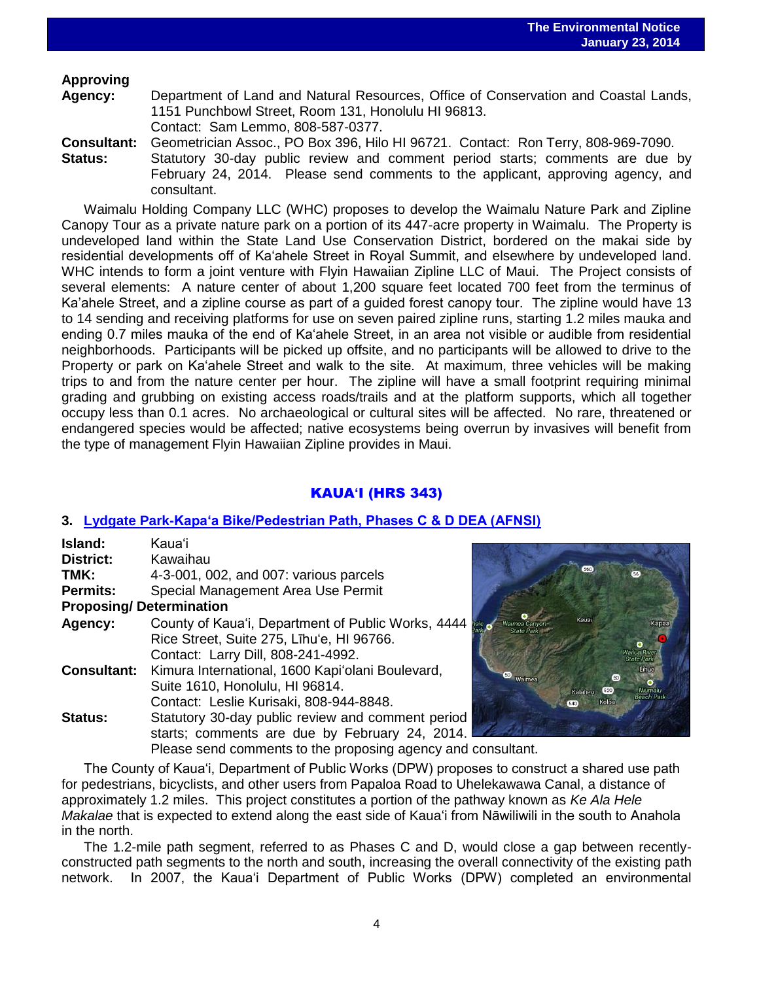## **Approving**

**Agency:** Department of Land and Natural Resources, Office of Conservation and Coastal Lands, 1151 Punchbowl Street, Room 131, Honolulu HI 96813. Contact: Sam Lemmo, 808-587-0377.

**Consultant:** Geometrician Assoc., PO Box 396, Hilo HI 96721. Contact: Ron Terry, 808-969-7090. **Status:** Statutory 30-day public review and comment period starts; comments are due by February 24, 2014. Please send comments to the applicant, approving agency, and consultant.

Waimalu Holding Company LLC (WHC) proposes to develop the Waimalu Nature Park and Zipline Canopy Tour as a private nature park on a portion of its 447-acre property in Waimalu. The Property is undeveloped land within the State Land Use Conservation District, bordered on the makai side by residential developments off of Ka'ahele Street in Royal Summit, and elsewhere by undeveloped land. WHC intends to form a joint venture with Flyin Hawaiian Zipline LLC of Maui. The Project consists of several elements: A nature center of about 1,200 square feet located 700 feet from the terminus of Ka'ahele Street, and a zipline course as part of a guided forest canopy tour. The zipline would have 13 to 14 sending and receiving platforms for use on seven paired zipline runs, starting 1.2 miles mauka and ending 0.7 miles mauka of the end of Ka'ahele Street, in an area not visible or audible from residential neighborhoods. Participants will be picked up offsite, and no participants will be allowed to drive to the Property or park on Ka'ahele Street and walk to the site. At maximum, three vehicles will be making trips to and from the nature center per hour. The zipline will have a small footprint requiring minimal grading and grubbing on existing access roads/trails and at the platform supports, which all together occupy less than 0.1 acres. No archaeological or cultural sites will be affected. No rare, threatened or endangered species would be affected; native ecosystems being overrun by invasives will benefit from the type of management Flyin Hawaiian Zipline provides in Maui.

## KAUA**ʻ**I (HRS 343)

## **3. [Lydgate Park-Kapaʻa Bike/Pedestrian Path, Phases C & D DEA \(AFNSI\)](http://oeqc.doh.hawaii.gov/Shared%20Documents/EA_and_EIS_Online_Library/Kauai/2010s/2014-01-23-KA-5B-DEA-Lydgate-Park-Kapaa-Bike-Pedestrian-Path-Phases-C-D.pdf)**

| Kaua'i                                             |
|----------------------------------------------------|
| Kawaihau                                           |
| 4-3-001, 002, and 007: various parcels             |
| Special Management Area Use Permit                 |
| <b>Proposing/Determination</b>                     |
| County of Kaua'i, Department of Public Works, 4444 |
| Rice Street, Suite 275, Līhu'e, HI 96766.          |
| Contact: Larry Dill, 808-241-4992.                 |
| Kimura International, 1600 Kapi'olani Boulevard,   |
| Suite 1610, Honolulu, HI 96814.                    |
| Contact: Leslie Kurisaki, 808-944-8848.            |
| Statutory 30-day public review and comment period  |
| starts; comments are due by February 24, 2014.     |
| Please send comments to the proposing agency and   |
|                                                    |



d consultant.

The County of Kaua'i, Department of Public Works (DPW) proposes to construct a shared use path for pedestrians, bicyclists, and other users from Papaloa Road to Uhelekawawa Canal, a distance of approximately 1.2 miles. This project constitutes a portion of the pathway known as *Ke Ala Hele Makalae* that is expected to extend along the east side of Kaua'i from Nāwiliwili in the south to Anahola in the north.

The 1.2-mile path segment, referred to as Phases C and D, would close a gap between recentlyconstructed path segments to the north and south, increasing the overall connectivity of the existing path network. In 2007, the Kaua'i Department of Public Works (DPW) completed an environmental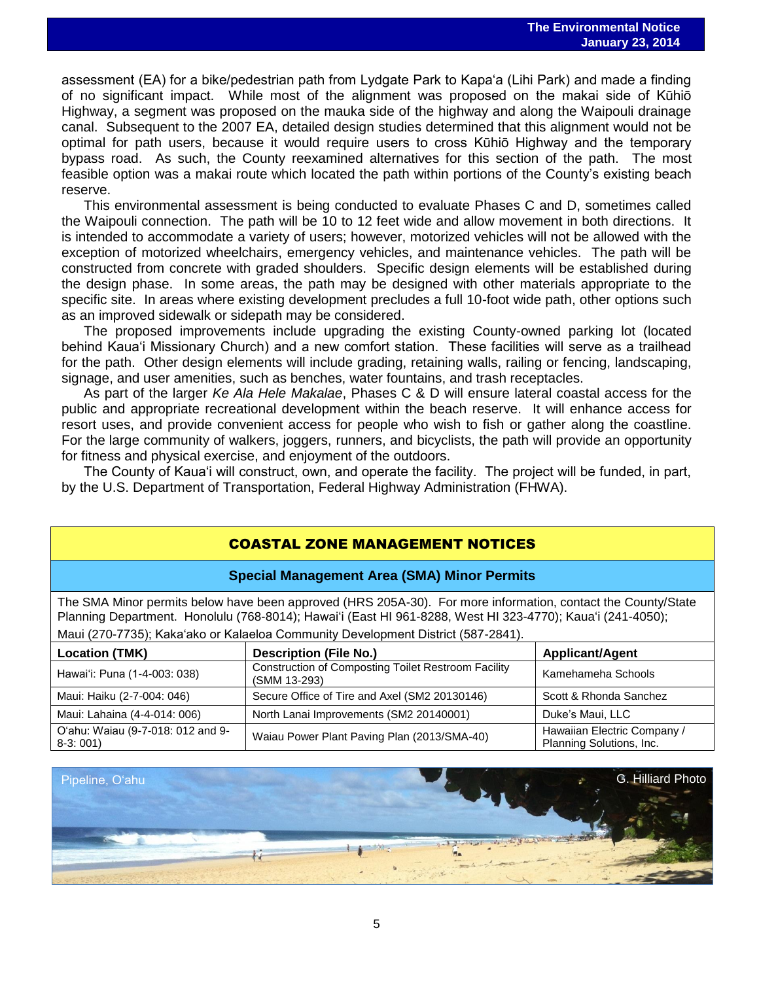assessment (EA) for a bike/pedestrian path from Lydgate Park to Kapa'a (Lihi Park) and made a finding of no significant impact. While most of the alignment was proposed on the makai side of Kūhiō Highway, a segment was proposed on the mauka side of the highway and along the Waipouli drainage canal. Subsequent to the 2007 EA, detailed design studies determined that this alignment would not be optimal for path users, because it would require users to cross Kūhiō Highway and the temporary bypass road. As such, the County reexamined alternatives for this section of the path. The most feasible option was a makai route which located the path within portions of the County's existing beach reserve.

This environmental assessment is being conducted to evaluate Phases C and D, sometimes called the Waipouli connection. The path will be 10 to 12 feet wide and allow movement in both directions. It is intended to accommodate a variety of users; however, motorized vehicles will not be allowed with the exception of motorized wheelchairs, emergency vehicles, and maintenance vehicles. The path will be constructed from concrete with graded shoulders. Specific design elements will be established during the design phase. In some areas, the path may be designed with other materials appropriate to the specific site. In areas where existing development precludes a full 10-foot wide path, other options such as an improved sidewalk or sidepath may be considered.

The proposed improvements include upgrading the existing County-owned parking lot (located behind Kaua'i Missionary Church) and a new comfort station. These facilities will serve as a trailhead for the path. Other design elements will include grading, retaining walls, railing or fencing, landscaping, signage, and user amenities, such as benches, water fountains, and trash receptacles.

As part of the larger *Ke Ala Hele Makalae*, Phases C & D will ensure lateral coastal access for the public and appropriate recreational development within the beach reserve. It will enhance access for resort uses, and provide convenient access for people who wish to fish or gather along the coastline. For the large community of walkers, joggers, runners, and bicyclists, the path will provide an opportunity for fitness and physical exercise, and enjoyment of the outdoors.

The County of Kaua'i will construct, own, and operate the facility. The project will be funded, in part, by the U.S. Department of Transportation, Federal Highway Administration (FHWA).

| <b>COASTAL ZONE MANAGEMENT NOTICES</b>                                                                                                                                                                                                                                                                         |                                                                     |                                                         |  |  |
|----------------------------------------------------------------------------------------------------------------------------------------------------------------------------------------------------------------------------------------------------------------------------------------------------------------|---------------------------------------------------------------------|---------------------------------------------------------|--|--|
| <b>Special Management Area (SMA) Minor Permits</b>                                                                                                                                                                                                                                                             |                                                                     |                                                         |  |  |
| The SMA Minor permits below have been approved (HRS 205A-30). For more information, contact the County/State<br>Planning Department. Honolulu (768-8014); Hawai'i (East HI 961-8288, West HI 323-4770); Kaua'i (241-4050);<br>Maui (270-7735); Kaka'ako or Kalaeloa Community Development District (587-2841). |                                                                     |                                                         |  |  |
| <b>Location (TMK)</b><br><b>Applicant/Agent</b><br><b>Description (File No.)</b>                                                                                                                                                                                                                               |                                                                     |                                                         |  |  |
| Hawai'i: Puna (1-4-003: 038)                                                                                                                                                                                                                                                                                   | Construction of Composting Toilet Restroom Facility<br>(SMM 13-293) | Kamehameha Schools                                      |  |  |
| Maui: Haiku (2-7-004: 046)                                                                                                                                                                                                                                                                                     | Secure Office of Tire and Axel (SM2 20130146)                       | Scott & Rhonda Sanchez                                  |  |  |
| Maui: Lahaina (4-4-014: 006)                                                                                                                                                                                                                                                                                   | North Lanai Improvements (SM2 20140001)                             | Duke's Maui, LLC                                        |  |  |
| O'ahu: Waiau (9-7-018: 012 and 9-<br>$8-3:001$                                                                                                                                                                                                                                                                 | Waiau Power Plant Paving Plan (2013/SMA-40)                         | Hawaiian Electric Company /<br>Planning Solutions, Inc. |  |  |

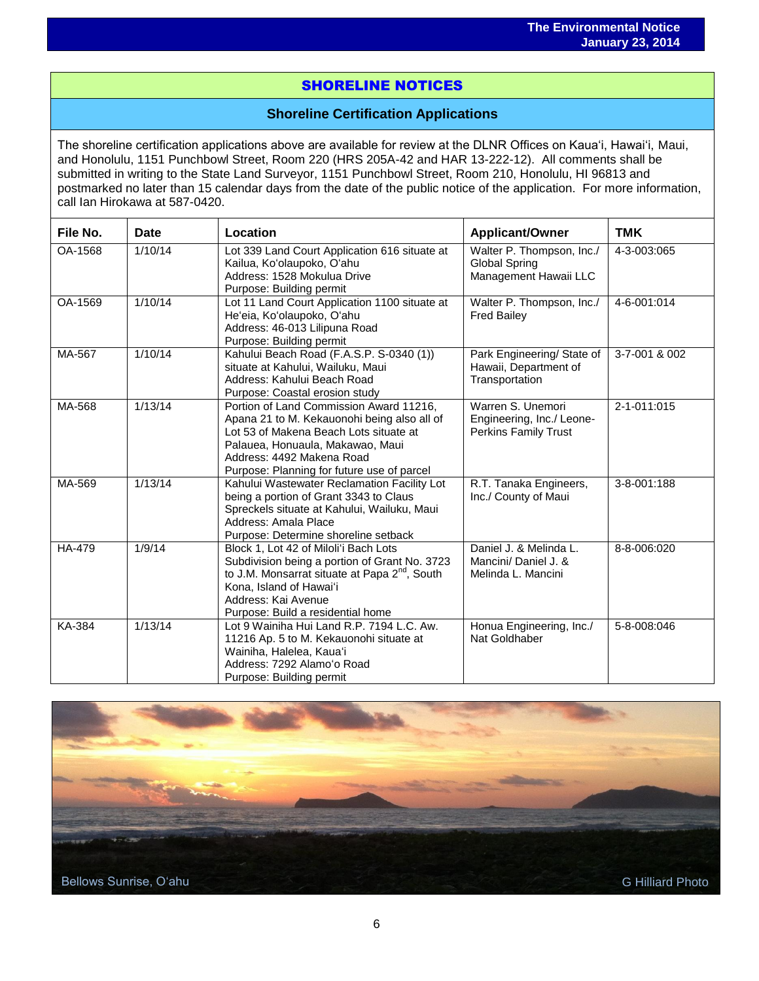## SHORELINE NOTICES

### **Shoreline Certification Applications**

The shoreline certification applications above are available for review at the DLNR Offices on Kauaʻi, Hawaiʻi, Maui, and Honolulu, 1151 Punchbowl Street, Room 220 (HRS 205A-42 and HAR 13-222-12). All comments shall be submitted in writing to the State Land Surveyor, 1151 Punchbowl Street, Room 210, Honolulu, HI 96813 and postmarked no later than 15 calendar days from the date of the public notice of the application. For more information, call Ian Hirokawa at 587-0420.

| File No. | <b>Date</b> | Location                                                                                                                                                                                                                                        | <b>Applicant/Owner</b>                                                        | <b>TMK</b>    |
|----------|-------------|-------------------------------------------------------------------------------------------------------------------------------------------------------------------------------------------------------------------------------------------------|-------------------------------------------------------------------------------|---------------|
| OA-1568  | 1/10/14     | Lot 339 Land Court Application 616 situate at<br>Kailua, Ko'olaupoko, O'ahu<br>Address: 1528 Mokulua Drive<br>Purpose: Building permit                                                                                                          | Walter P. Thompson, Inc./<br><b>Global Spring</b><br>Management Hawaii LLC    | 4-3-003:065   |
| OA-1569  | 1/10/14     | Lot 11 Land Court Application 1100 situate at<br>He'eia, Ko'olaupoko, O'ahu<br>Address: 46-013 Lilipuna Road<br>Purpose: Building permit                                                                                                        | Walter P. Thompson, Inc./<br><b>Fred Bailey</b>                               | 4-6-001:014   |
| MA-567   | 1/10/14     | Kahului Beach Road (F.A.S.P. S-0340 (1))<br>situate at Kahului, Wailuku, Maui<br>Address: Kahului Beach Road<br>Purpose: Coastal erosion study                                                                                                  | Park Engineering/ State of<br>Hawaii, Department of<br>Transportation         | 3-7-001 & 002 |
| MA-568   | 1/13/14     | Portion of Land Commission Award 11216,<br>Apana 21 to M. Kekauonohi being also all of<br>Lot 53 of Makena Beach Lots situate at<br>Palauea, Honuaula, Makawao, Maui<br>Address: 4492 Makena Road<br>Purpose: Planning for future use of parcel | Warren S. Unemori<br>Engineering, Inc./ Leone-<br><b>Perkins Family Trust</b> | 2-1-011:015   |
| MA-569   | 1/13/14     | Kahului Wastewater Reclamation Facility Lot<br>being a portion of Grant 3343 to Claus<br>Spreckels situate at Kahului, Wailuku, Maui<br>Address: Amala Place<br>Purpose: Determine shoreline setback                                            | R.T. Tanaka Engineers,<br>Inc./ County of Maui                                | 3-8-001:188   |
| HA-479   | 1/9/14      | Block 1, Lot 42 of Miloli'i Bach Lots<br>Subdivision being a portion of Grant No. 3723<br>to J.M. Monsarrat situate at Papa 2 <sup>nd</sup> , South<br>Kona, Island of Hawai'i<br>Address: Kai Avenue<br>Purpose: Build a residential home      | Daniel J. & Melinda L.<br>Mancini/ Daniel J. &<br>Melinda L. Mancini          | 8-8-006:020   |
| KA-384   | 1/13/14     | Lot 9 Wainiha Hui Land R.P. 7194 L.C. Aw.<br>11216 Ap. 5 to M. Kekauonohi situate at<br>Wainiha, Halelea, Kaua'i<br>Address: 7292 Alamo'o Road<br>Purpose: Building permit                                                                      | Honua Engineering, Inc./<br>Nat Goldhaber                                     | 5-8-008:046   |

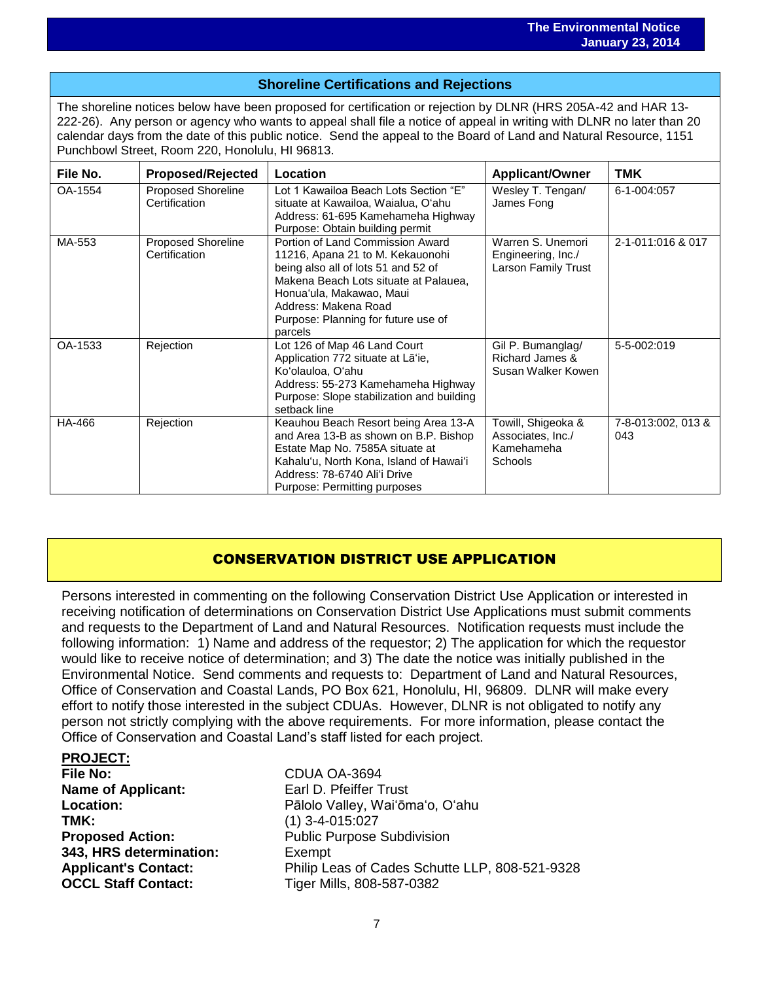## **Shoreline Certifications and Rejections**

The shoreline notices below have been proposed for certification or rejection by DLNR (HRS 205A-42 and HAR 13- 222-26). Any person or agency who wants to appeal shall file a notice of appeal in writing with DLNR no later than 20 calendar days from the date of this public notice. Send the appeal to the Board of Land and Natural Resource, 1151 Punchbowl Street, Room 220, Honolulu, HI 96813.

| File No. | <b>Proposed/Rejected</b>            | Location                                                                                                                                                                                                                                                   | <b>Applicant/Owner</b>                                           | <b>TMK</b>                |
|----------|-------------------------------------|------------------------------------------------------------------------------------------------------------------------------------------------------------------------------------------------------------------------------------------------------------|------------------------------------------------------------------|---------------------------|
| OA-1554  | Proposed Shoreline<br>Certification | Lot 1 Kawailoa Beach Lots Section "E"<br>situate at Kawailoa, Waialua, O'ahu<br>Address: 61-695 Kamehameha Highway<br>Purpose: Obtain building permit                                                                                                      | Wesley T. Tengan/<br>James Fong                                  | 6-1-004:057               |
| MA-553   | Proposed Shoreline<br>Certification | Portion of Land Commission Award<br>11216, Apana 21 to M. Kekauonohi<br>being also all of lots 51 and 52 of<br>Makena Beach Lots situate at Palauea.<br>Honua'ula, Makawao, Maui<br>Address: Makena Road<br>Purpose: Planning for future use of<br>parcels | Warren S. Unemori<br>Engineering, Inc./<br>Larson Family Trust   | 2-1-011:016 & 017         |
| OA-1533  | Rejection                           | Lot 126 of Map 46 Land Court<br>Application 772 situate at Lā'ie,<br>Ko'olauloa, O'ahu<br>Address: 55-273 Kamehameha Highway<br>Purpose: Slope stabilization and building<br>setback line                                                                  | Gil P. Bumanglag/<br>Richard James &<br>Susan Walker Kowen       | 5-5-002:019               |
| HA-466   | Rejection                           | Keauhou Beach Resort being Area 13-A<br>and Area 13-B as shown on B.P. Bishop<br>Estate Map No. 7585A situate at<br>Kahalu'u, North Kona, Island of Hawai'i<br>Address: 78-6740 Ali'i Drive<br>Purpose: Permitting purposes                                | Towill, Shigeoka &<br>Associates, Inc./<br>Kamehameha<br>Schools | 7-8-013:002, 013 &<br>043 |

## CONSERVATION DISTRICT USE APPLICATION

Persons interested in commenting on the following Conservation District Use Application or interested in receiving notification of determinations on Conservation District Use Applications must submit comments and requests to the Department of Land and Natural Resources. Notification requests must include the following information: 1) Name and address of the requestor; 2) The application for which the requestor would like to receive notice of determination; and 3) The date the notice was initially published in the Environmental Notice. Send comments and requests to: Department of Land and Natural Resources, Office of Conservation and Coastal Lands, PO Box 621, Honolulu, HI, 96809. DLNR will make every effort to notify those interested in the subject CDUAs. However, DLNR is not obligated to notify any person not strictly complying with the above requirements. For more information, please contact the Office of Conservation and Coastal Land's staff listed for each project.

# **PROJECT: File No:** CDUA OA-3694 **Name of Applicant:** Earl D. Pfeiffer Trust **TMK:** (1) 3-4-015:027 **343, HRS determination:** Exempt

**Location:** Pālolo Valley, Waiʻōmaʻo, Oʻahu **Proposed Action:** Public Purpose Subdivision **Applicant's Contact:** Philip Leas of Cades Schutte LLP, 808-521-9328 **OCCL Staff Contact:** Tiger Mills, 808-587-0382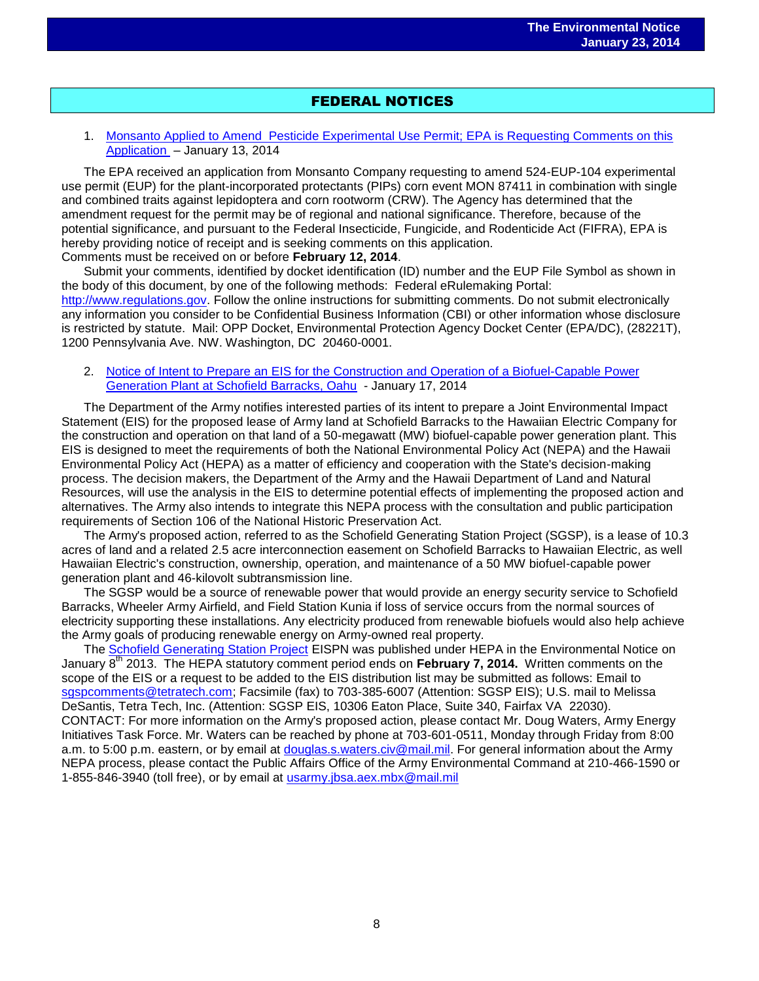## FEDERAL NOTICES

1. Monsanto Applied to Amend Pesticide Experimental Use Permit; EPA is Requesting Comments on this Application – January 13, 2014

The EPA received an application from Monsanto Company requesting to amend 524-EUP-104 experimental use permit (EUP) for the plant-incorporated protectants (PIPs) corn event MON 87411 in combination with single and combined traits against lepidoptera and corn rootworm (CRW). The Agency has determined that the amendment request for the permit may be of regional and national significance. Therefore, because of the potential significance, and pursuant to the Federal Insecticide, Fungicide, and Rodenticide Act (FIFRA), EPA is hereby providing notice of receipt and is seeking comments on this application. Comments must be received on or before **February 12, 2014**.

Submit your comments, identified by docket identification (ID) number and the EUP File Symbol as shown in the body of this document, by one of the following methods: Federal eRulemaking Portal: [http://www.regulations.gov.](http://www.regulations.gov/) Follow the online instructions for submitting comments. Do not submit electronically any information you consider to be Confidential Business Information (CBI) or other information whose disclosure is restricted by statute. Mail: OPP Docket, Environmental Protection Agency Docket Center (EPA/DC), (28221T), 1200 Pennsylvania Ave. NW. Washington, DC 20460-0001.

2. Notice of Intent to Prepare an [EIS for the Construction and Operation of a Biofuel-Capable Power](http://www.gpo.gov/fdsys/pkg/FR-2014-01-17/pdf/2014-00888.pdf)  Generation [Plant at Schofield Barracks, Oahu](http://www.gpo.gov/fdsys/pkg/FR-2014-01-17/pdf/2014-00888.pdf) - January 17, 2014

The Department of the Army notifies interested parties of its intent to prepare a Joint Environmental Impact Statement (EIS) for the proposed lease of Army land at Schofield Barracks to the Hawaiian Electric Company for the construction and operation on that land of a 50-megawatt (MW) biofuel-capable power generation plant. This EIS is designed to meet the requirements of both the National Environmental Policy Act (NEPA) and the Hawaii Environmental Policy Act (HEPA) as a matter of efficiency and cooperation with the State's decision-making process. The decision makers, the Department of the Army and the Hawaii Department of Land and Natural Resources, will use the analysis in the EIS to determine potential effects of implementing the proposed action and alternatives. The Army also intends to integrate this NEPA process with the consultation and public participation requirements of Section 106 of the National Historic Preservation Act.

The Army's proposed action, referred to as the Schofield Generating Station Project (SGSP), is a lease of 10.3 acres of land and a related 2.5 acre interconnection easement on Schofield Barracks to Hawaiian Electric, as well Hawaiian Electric's construction, ownership, operation, and maintenance of a 50 MW biofuel-capable power generation plant and 46-kilovolt subtransmission line.

The SGSP would be a source of renewable power that would provide an energy security service to Schofield Barracks, Wheeler Army Airfield, and Field Station Kunia if loss of service occurs from the normal sources of electricity supporting these installations. Any electricity produced from renewable biofuels would also help achieve the Army goals of producing renewable energy on Army-owned real property.

Th[e Schofield Generating Station Project](http://oeqc.doh.hawaii.gov/Shared%20Documents/EA_and_EIS_Online_Library/Oahu/2010s/2014-01-08-OA-5E-EISPN-Schofield-Generating-Station-Project.pdf) EISPN was published under HEPA in the Environmental Notice on January 8<sup>th</sup> 2013. The HEPA statutory comment period ends on **February 7, 2014.** Written comments on the scope of the EIS or a request to be added to the EIS distribution list may be submitted as follows: Email to [sgspcomments@tetratech.com;](mailto:sgspcomments@tetratech.com) Facsimile (fax) to 703-385-6007 (Attention: SGSP EIS); U.S. mail to Melissa DeSantis, Tetra Tech, Inc. (Attention: SGSP EIS, 10306 Eaton Place, Suite 340, Fairfax VA 22030). CONTACT: For more information on the Army's proposed action, please contact Mr. Doug Waters, Army Energy Initiatives Task Force. Mr. Waters can be reached by phone at 703-601-0511, Monday through Friday from 8:00 a.m. to 5:00 p.m. eastern, or by email at [douglas.s.waters.civ@mail.mil.](mailto:douglas.s.waters.civ@mail.mil) For general information about the Army NEPA process, please contact the Public Affairs Office of the Army Environmental Command at 210-466-1590 or 1-855-846-3940 (toll free), or by email at [usarmy.jbsa.aex.mbx@mail.mil](mailto:usarmy.jbsa.aex.mbx@mail.mil)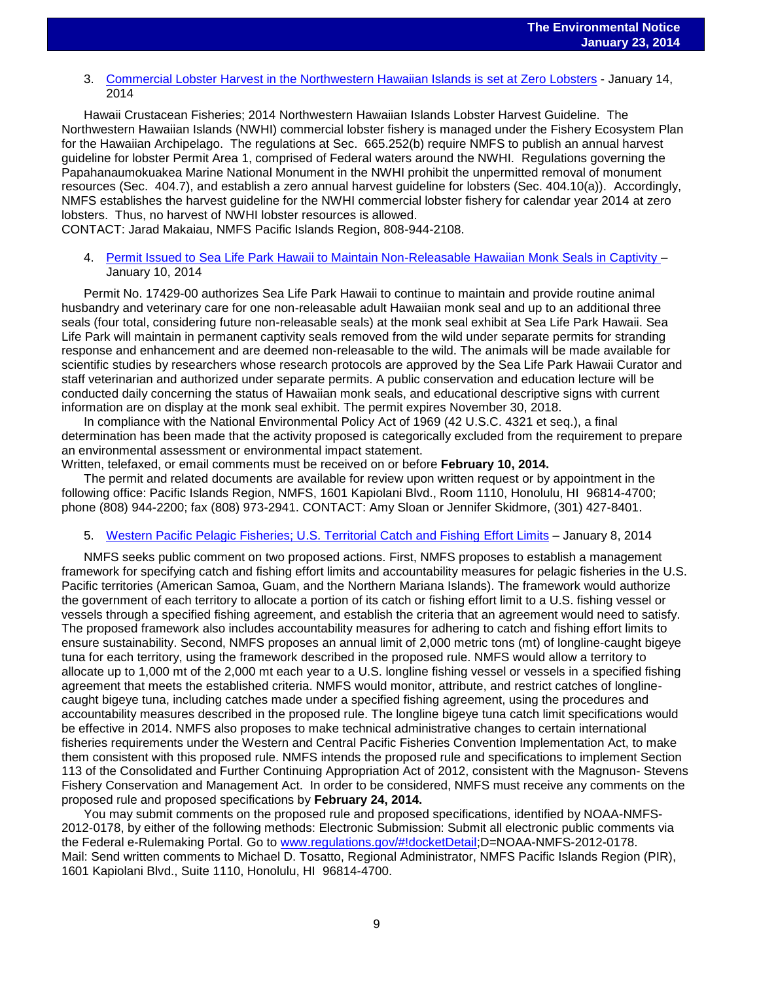## 3. [Commercial Lobster Harvest in the Northwestern Hawaiian Islands is set](http://www.gpo.gov/fdsys/pkg/FR-2014-01-14/pdf/2014-00484.pdf) at Zero Lobsters - January 14, 2014

Hawaii Crustacean Fisheries; 2014 Northwestern Hawaiian Islands Lobster Harvest Guideline. The Northwestern Hawaiian Islands (NWHI) commercial lobster fishery is managed under the Fishery Ecosystem Plan for the Hawaiian Archipelago. The regulations at Sec. 665.252(b) require NMFS to publish an annual harvest guideline for lobster Permit Area 1, comprised of Federal waters around the NWHI. Regulations governing the Papahanaumokuakea Marine National Monument in the NWHI prohibit the unpermitted removal of monument resources (Sec. 404.7), and establish a zero annual harvest guideline for lobsters (Sec. 404.10(a)). Accordingly, NMFS establishes the harvest guideline for the NWHI commercial lobster fishery for calendar year 2014 at zero lobsters. Thus, no harvest of NWHI lobster resources is allowed.

CONTACT: Jarad Makaiau, NMFS Pacific Islands Region, 808-944-2108.

4. Permit Issued to Sea Life Park Hawaii to Maintain Non-Releasable Hawaiian Monk Seals in Captivity – January 10, 2014

Permit No. 17429-00 authorizes Sea Life Park Hawaii to continue to maintain and provide routine animal husbandry and veterinary care for one non-releasable adult Hawaiian monk seal and up to an additional three seals (four total, considering future non-releasable seals) at the monk seal exhibit at Sea Life Park Hawaii. Sea Life Park will maintain in permanent captivity seals removed from the wild under separate permits for stranding response and enhancement and are deemed non-releasable to the wild. The animals will be made available for scientific studies by researchers whose research protocols are approved by the Sea Life Park Hawaii Curator and staff veterinarian and authorized under separate permits. A public conservation and education lecture will be conducted daily concerning the status of Hawaiian monk seals, and educational descriptive signs with current information are on display at the monk seal exhibit. The permit expires November 30, 2018.

In compliance with the National Environmental Policy Act of 1969 (42 U.S.C. 4321 et seq.), a final determination has been made that the activity proposed is categorically excluded from the requirement to prepare an environmental assessment or environmental impact statement.

Written, telefaxed, or email comments must be received on or before **February 10, 2014.**

The permit and related documents are available for review upon written request or by appointment in the following office: Pacific Islands Region, NMFS, 1601 Kapiolani Blvd., Room 1110, Honolulu, HI 96814-4700; phone (808) 944-2200; fax (808) 973-2941. CONTACT: Amy Sloan or Jennifer Skidmore, (301) 427-8401.

### 5. [Western Pacific Pelagic Fisheries; U.S. Territorial Catch and Fishing Effort Limits](http://www.gpo.gov/fdsys/pkg/FR-2014-01-08/pdf/2013-31592.pdf) – January 8, 2014

NMFS seeks public comment on two proposed actions. First, NMFS proposes to establish a management framework for specifying catch and fishing effort limits and accountability measures for pelagic fisheries in the U.S. Pacific territories (American Samoa, Guam, and the Northern Mariana Islands). The framework would authorize the government of each territory to allocate a portion of its catch or fishing effort limit to a U.S. fishing vessel or vessels through a specified fishing agreement, and establish the criteria that an agreement would need to satisfy. The proposed framework also includes accountability measures for adhering to catch and fishing effort limits to ensure sustainability. Second, NMFS proposes an annual limit of 2,000 metric tons (mt) of longline-caught bigeye tuna for each territory, using the framework described in the proposed rule. NMFS would allow a territory to allocate up to 1,000 mt of the 2,000 mt each year to a U.S. longline fishing vessel or vessels in a specified fishing agreement that meets the established criteria. NMFS would monitor, attribute, and restrict catches of longlinecaught bigeye tuna, including catches made under a specified fishing agreement, using the procedures and accountability measures described in the proposed rule. The longline bigeye tuna catch limit specifications would be effective in 2014. NMFS also proposes to make technical administrative changes to certain international fisheries requirements under the Western and Central Pacific Fisheries Convention Implementation Act, to make them consistent with this proposed rule. NMFS intends the proposed rule and specifications to implement Section 113 of the Consolidated and Further Continuing Appropriation Act of 2012, consistent with the Magnuson- Stevens Fishery Conservation and Management Act. In order to be considered, NMFS must receive any comments on the proposed rule and proposed specifications by **February 24, 2014.**

You may submit comments on the proposed rule and proposed specifications, identified by NOAA-NMFS-2012-0178, by either of the following methods: Electronic Submission: Submit all electronic public comments via the Federal e-Rulemaking Portal. Go to [www.regulations.gov/#!docketDetail;](http://www.regulations.gov/#!docketDetail)D=NOAA-NMFS-2012-0178. Mail: Send written comments to Michael D. Tosatto, Regional Administrator, NMFS Pacific Islands Region (PIR), 1601 Kapiolani Blvd., Suite 1110, Honolulu, HI 96814-4700.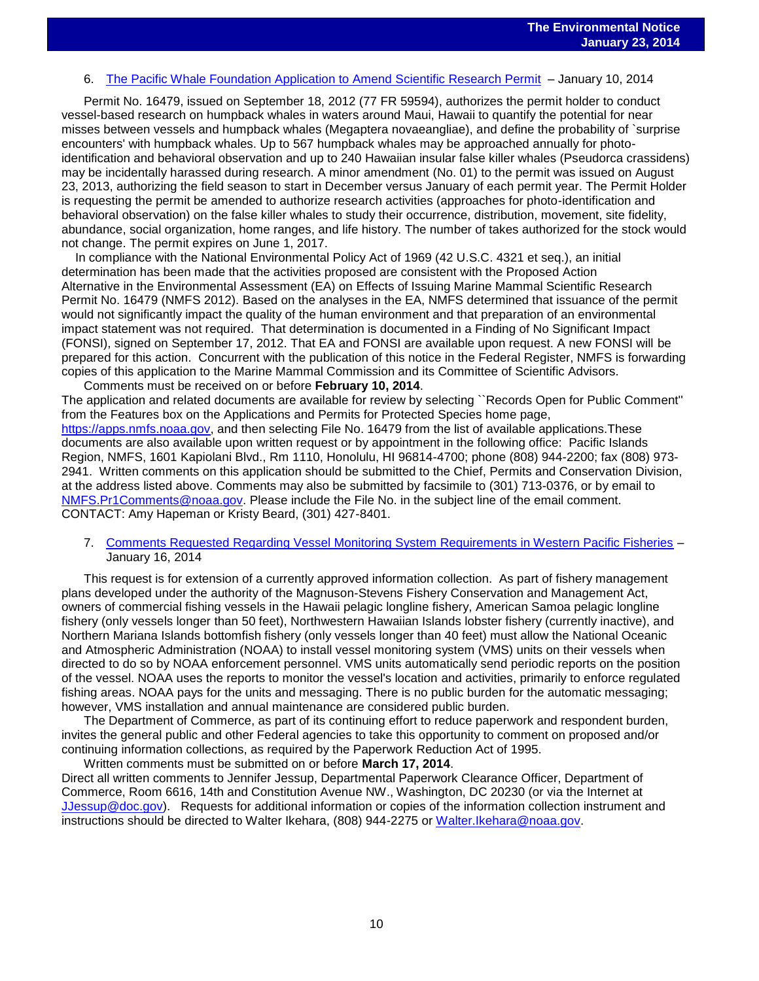## 6. [The Pacific Whale Foundation Application to Amend Scientific Research Permit](http://www.gpo.gov/fdsys/pkg/FR-2014-01-10/pdf/2014-00228.pdf) – January 10, 2014

Permit No. 16479, issued on September 18, 2012 (77 FR 59594), authorizes the permit holder to conduct vessel-based research on humpback whales in waters around Maui, Hawaii to quantify the potential for near misses between vessels and humpback whales (Megaptera novaeangliae), and define the probability of `surprise encounters' with humpback whales. Up to 567 humpback whales may be approached annually for photoidentification and behavioral observation and up to 240 Hawaiian insular false killer whales (Pseudorca crassidens) may be incidentally harassed during research. A minor amendment (No. 01) to the permit was issued on August 23, 2013, authorizing the field season to start in December versus January of each permit year. The Permit Holder is requesting the permit be amended to authorize research activities (approaches for photo-identification and behavioral observation) on the false killer whales to study their occurrence, distribution, movement, site fidelity, abundance, social organization, home ranges, and life history. The number of takes authorized for the stock would not change. The permit expires on June 1, 2017.

 In compliance with the National Environmental Policy Act of 1969 (42 U.S.C. 4321 et seq.), an initial determination has been made that the activities proposed are consistent with the Proposed Action Alternative in the Environmental Assessment (EA) on Effects of Issuing Marine Mammal Scientific Research Permit No. 16479 (NMFS 2012). Based on the analyses in the EA, NMFS determined that issuance of the permit would not significantly impact the quality of the human environment and that preparation of an environmental impact statement was not required. That determination is documented in a Finding of No Significant Impact (FONSI), signed on September 17, 2012. That EA and FONSI are available upon request. A new FONSI will be prepared for this action. Concurrent with the publication of this notice in the Federal Register, NMFS is forwarding copies of this application to the Marine Mammal Commission and its Committee of Scientific Advisors.

Comments must be received on or before **February 10, 2014**. The application and related documents are available for review by selecting ``Records Open for Public Comment'' from the Features box on the Applications and Permits for Protected Species home page, [https://apps.nmfs.noaa.gov,](https://apps.nmfs.noaa.gov/) and then selecting File No. 16479 from the list of available applications.These documents are also available upon written request or by appointment in the following office: Pacific Islands Region, NMFS, 1601 Kapiolani Blvd., Rm 1110, Honolulu, HI 96814-4700; phone (808) 944-2200; fax (808) 973- 2941. Written comments on this application should be submitted to the Chief, Permits and Conservation Division, at the address listed above. Comments may also be submitted by facsimile to (301) 713-0376, or by email to [NMFS.Pr1Comments@noaa.gov.](mailto:NMFS.Pr1Comments@noaa.gov) Please include the File No. in the subject line of the email comment. CONTACT: Amy Hapeman or Kristy Beard, (301) 427-8401.

7. Comments Requested [Regarding Vessel Monitoring System Requirements in Western Pacific Fisheries](http://www.gpo.gov/fdsys/pkg/FR-2014-01-16/pdf/2014-00695.pdf) – January 16, 2014

This request is for extension of a currently approved information collection. As part of fishery management plans developed under the authority of the Magnuson-Stevens Fishery Conservation and Management Act, owners of commercial fishing vessels in the Hawaii pelagic longline fishery, American Samoa pelagic longline fishery (only vessels longer than 50 feet), Northwestern Hawaiian Islands lobster fishery (currently inactive), and Northern Mariana Islands bottomfish fishery (only vessels longer than 40 feet) must allow the National Oceanic and Atmospheric Administration (NOAA) to install vessel monitoring system (VMS) units on their vessels when directed to do so by NOAA enforcement personnel. VMS units automatically send periodic reports on the position of the vessel. NOAA uses the reports to monitor the vessel's location and activities, primarily to enforce regulated fishing areas. NOAA pays for the units and messaging. There is no public burden for the automatic messaging; however, VMS installation and annual maintenance are considered public burden.

The Department of Commerce, as part of its continuing effort to reduce paperwork and respondent burden, invites the general public and other Federal agencies to take this opportunity to comment on proposed and/or continuing information collections, as required by the Paperwork Reduction Act of 1995.

Written comments must be submitted on or before **March 17, 2014**. Direct all written comments to Jennifer Jessup, Departmental Paperwork Clearance Officer, Department of Commerce, Room 6616, 14th and Constitution Avenue NW., Washington, DC 20230 (or via the Internet at [JJessup@doc.gov\)](mailto:JJessup@doc.gov). Requests for additional information or copies of the information collection instrument and instructions should be directed to Walter Ikehara, (808) 944-2275 or [Walter.Ikehara@noaa.gov.](mailto:Walter.Ikehara@noaa.gov)